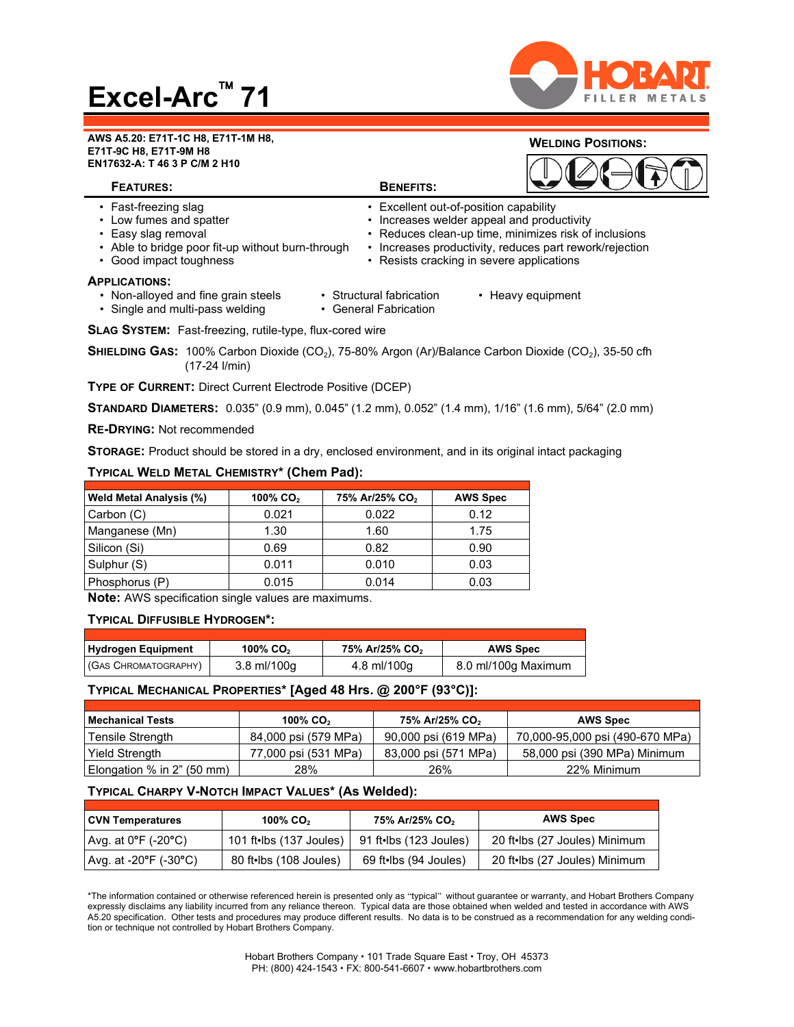# **Excel-Arc 71**



#### **AWS A5.20: E71T-1C H8, E71T-1M H8, E71T-9C H8, E71T-9M H8 EN17632-A: T 46 3 P C/M 2 H10**

## **WELDING POSITIONS:** DAARA

| <b>FEATURES:</b>                                                                                                                                       | <b>BENEFITS:</b>                                                                                                                  |                                                                                                                |
|--------------------------------------------------------------------------------------------------------------------------------------------------------|-----------------------------------------------------------------------------------------------------------------------------------|----------------------------------------------------------------------------------------------------------------|
| • Fast-freezing slag<br>• Low fumes and spatter<br>• Easy slag removal<br>• Able to bridge poor fit-up without burn-through<br>• Good impact toughness | • Excellent out-of-position capability<br>• Increases welder appeal and productivity<br>• Resists cracking in severe applications | • Reduces clean-up time, minimizes risk of inclusions<br>Increases productivity, reduces part rework/rejection |
| <b>APPLICATIONS:</b><br>• Non-alloyed and fine grain steels<br>• Single and multi-pass welding                                                         | • Structural fabrication<br>• General Fabrication                                                                                 | • Heavy equipment                                                                                              |

**SLAG SYSTEM:** Fast-freezing, rutile-type, flux-cored wire

**SHIELDING GAS: 100% Carbon Dioxide (CO<sub>2</sub>), 75-80% Argon (Ar)/Balance Carbon Dioxide (CO<sub>2</sub>), 35-50 cfh** (17-24 l/min)

**TYPE OF CURRENT:** Direct Current Electrode Positive (DCEP)

**STANDARD DIAMETERS:** 0.035" (0.9 mm), 0.045" (1.2 mm), 0.052" (1.4 mm), 1/16" (1.6 mm), 5/64" (2.0 mm)

**RE-DRYING:** Not recommended

**STORAGE:** Product should be stored in a dry, enclosed environment, and in its original intact packaging

### **TYPICAL WELD METAL CHEMISTRY\* (Chem Pad):**

| <b>Weld Metal Analysis (%)</b> | 100% CO $2$ | 75% Ar/25% CO <sub>2</sub> | <b>AWS Spec</b> |
|--------------------------------|-------------|----------------------------|-----------------|
| Carbon (C)                     | 0.021       | 0.022                      | 0.12            |
| Manganese (Mn)                 | 1.30        | 1.60                       | 1.75            |
| Silicon (Si)                   | 0.69        | 0.82                       | 0.90            |
| Sulphur (S)                    | 0.011       | 0.010                      | 0.03            |
| Phosphorus (P)                 | 0.015       | 0.014                      | 0.03            |

**Note:** AWS specification single values are maximums.

#### **TYPICAL DIFFUSIBLE HYDROGEN\*:**

| <b>Hydrogen Equipment</b> | 100% CO <sub>2</sub> | 75% Ar/25% CO <sub>2</sub> | <b>AWS Spec</b>     |
|---------------------------|----------------------|----------------------------|---------------------|
| (GAS CHROMATOGRAPHY)      | 3.8 ml/100q          | 4.8 ml/100q                | 8.0 ml/100g Maximum |

#### **TYPICAL MECHANICAL PROPERTIES\* [Aged 48 Hrs. @ 200°F (93°C)]:**

| <b>Mechanical Tests</b>    | 100% CO <sub>2</sub> | 75% Ar/25% CO <sub>2</sub> | <b>AWS Spec</b>                 |
|----------------------------|----------------------|----------------------------|---------------------------------|
| Tensile Strength           | 84,000 psi (579 MPa) | 90,000 psi (619 MPa)       | 70,000-95,000 psi (490-670 MPa) |
| Yield Strength             | 77,000 psi (531 MPa) | 83,000 psi (571 MPa)       | 58,000 psi (390 MPa) Minimum    |
| Elongation % in 2" (50 mm) | 28%                  | 26%                        | 22% Minimum                     |

### **TYPICAL CHARPY V-NOTCH IMPACT VALUES\* (As Welded):**

| CVN Temperatures        | 100% CO <sub>2</sub>                | 75% Ar/25% CO <sub>2</sub> | <b>AWS Spec</b>               |
|-------------------------|-------------------------------------|----------------------------|-------------------------------|
| l Avg. at 0°F (-20°C) ∈ | 101 ft•lbs (137 Joules) $\parallel$ | 91 ft•lbs (123 Joules)     | 20 ft•lbs (27 Joules) Minimum |
| Avg. at -20°F (-30°C)   | 80 ft•lbs (108 Joules)              | 69 ft•lbs (94 Joules)      | 20 ft•lbs (27 Joules) Minimum |

\*The information contained or otherwise referenced herein is presented only as "typical" without guarantee or warranty, and Hobart Brothers Company expressly disclaims any liability incurred from any reliance thereon. Typical data are those obtained when welded and tested in accordance with AWS A5.20 specification. Other tests and procedures may produce different results. No data is to be construed as a recommendation for any welding condition or technique not controlled by Hobart Brothers Company.